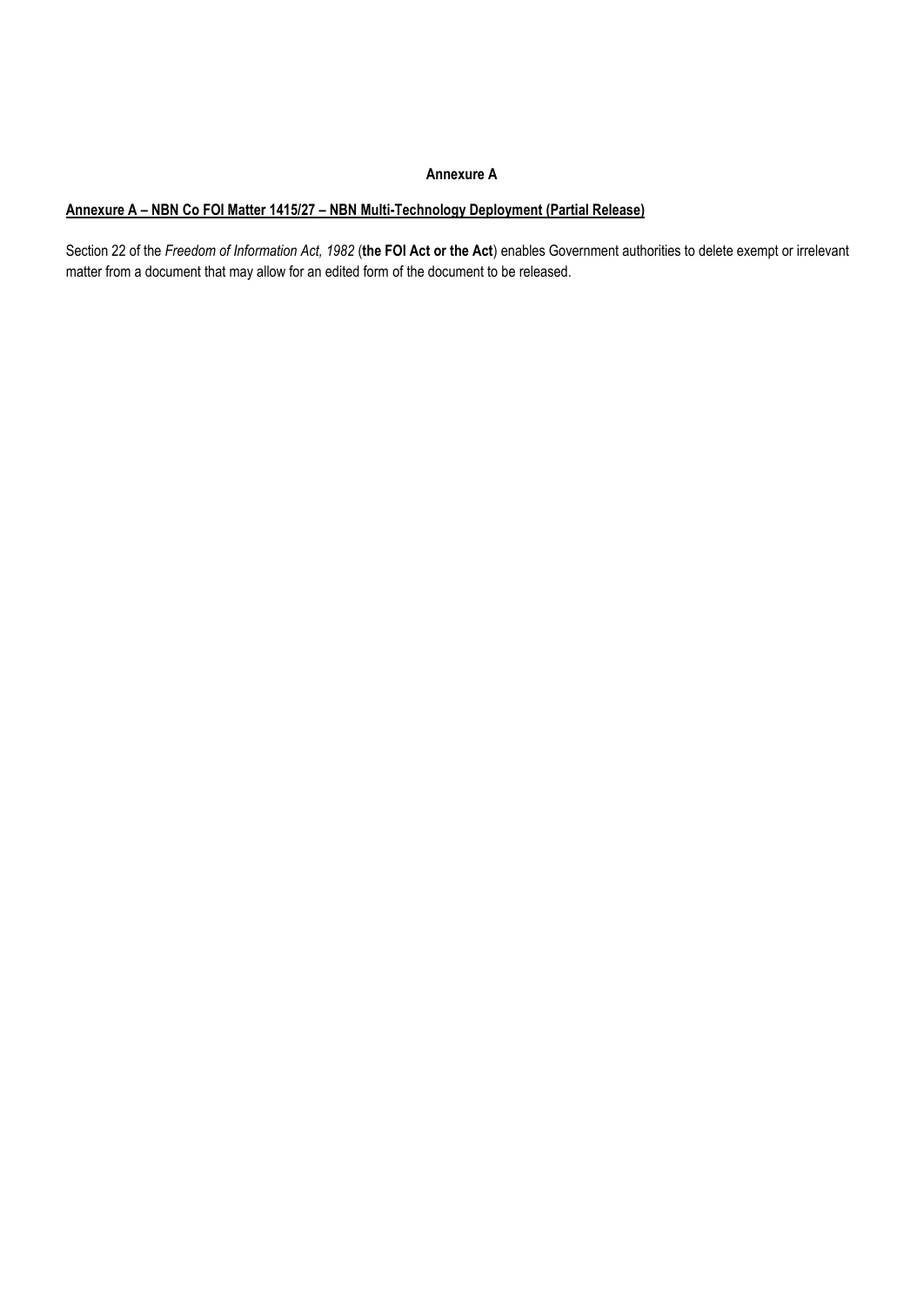## **Annexure A**

## **Annexure A – NBN Co FOI Matter 1415/27 – NBN Multi-Technology Deployment (Partial Release)**

Section 22 of the *Freedom of Information Act, 1982* (**the FOI Act or the Act**) enables Government authorities to delete exempt or irrelevant matter from a document that may allow for an edited form of the document to be released.